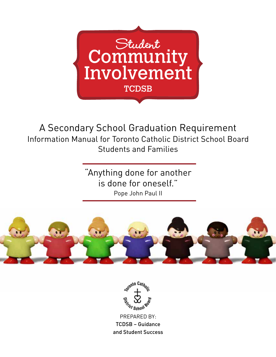

A Secondary School Graduation Requirement Information Manual for Toronto Catholic District School Board Students and Families

> "Anything done for another is done for oneself." Pope John Paul II





PREPARED BY: TCDSB – Guidance and Student Success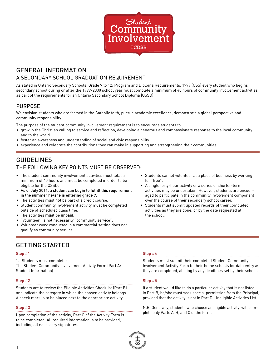

## GENERAL INFORMATION

### A SECONDARY SCHOOL GRADUATION REQUIREMENT

As stated in Ontario Secondary Schools, Grade 9 to 12: Program and Diploma Requirements, 1999 (OSS) every student who begins secondary school during or after the 1999-2000 school year must complete a minimum of 40 hours of community involvement activities as part of the requirements for an Ontario Secondary School Diploma (OSSD).

### PURPOSE

We envision students who are formed in the Catholic faith, pursue academic excellence, demonstrate a global perspective and community responsibility.

The purpose of the student community involvement requirement is to encourage students to:

- grow in the Christian calling to service and reflection, developing a generous and compassionate response to the local community and to the world
- foster an awareness and understanding of social and civic responsibility
- experience and celebrate the contributions they can make in supporting and strengthening their communities

## GUIDELINES

### THE FOLLOWING KEY POINTS MUST BE OBSERVED:

- The student community involvement activities must total a minimum of 40 hours and must be completed in order to be eligible for the OSSD.
- As of July 2011, a student can begin to fulfill this requirement in the summer he/she is entering grade 9.
- The activities must not be part of a credit course.
- Student community involvement activity must be completed outside of scheduled class time.
- The activities must be unpaid.
- "Volunteer" is not necessarily "community service".
- Volunteer work conducted in a commercial setting does not qualify as community service.
- Students cannot volunteer at a place of business by working for "free".
- A single forty-hour activity or a series of shorter-term activities may be undertaken. However, students are encouraged to participate in the community involvement component over the course of their secondary school career.
- Students must submit updated records of their completed activities as they are done, or by the date requested at the school.

## GETTING STARTED

#### Step #1

1. Students must complete:

The Student Community Involvement Activity Form (Part A: Student Information)

#### Step #2

Students are to review the Eligible Activities Checklist (Part B) and indicate the category in which the chosen activity belongs. A check mark is to be placed next to the appropriate activity.

### Step #3

Upon completion of the activity, Part C of the Activity Form is to be completed. All required information is to be provided, including all necessary signatures.

#### Step #4

Students must submit their completed Student Community Involvement Activity Form to their home schools for data entry as they are completed, abiding by any deadlines set by their school.

### Step #5

If a student would like to do a particular activity that is not listed in Part B, he/she must seek special permission from the Principal, provided that the activity is not in Part D—Ineligible Activities List.

N.B. Generally, students who choose an eligible activity, will complete only Parts A, B, and C of the form.

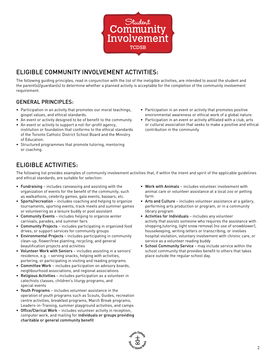

# ELIGIBLE COMMUNITY INVOLVEMENT ACTIVITIES:

The following guiding principles, read in conjunction with the list of the ineligible activities, are intended to assist the student and the parent(s)/guardian(s) to determine whether a planned activity is acceptable for the completion of the community involvement requirement.

## GENERAL PRINCIPLES:

- Participation in an activity that promotes our moral teachings, gospel values, and ethical standards.
- An event or activity designed to be of benefit to the community.
- An event or activity to support a not-for-profit agency, institution or foundation that conforms to the ethical standards of the Toronto Catholic District School Board and the Ministry of Education.
- Structured programmes that promote tutoring, mentoring or coaching.
- Participation in an event or activity that promotes positive environmental awareness or ethical work of a global nature.
- Participation in an event or activity affiliated with a club, arts or cultural association that seeks to make a positive and ethical contribution in the community.

# ELIGIBLE ACTIVITIES:

The following list provides examples of community involvement activities that, if within the intent and spirit of the applicable guidelines and ethical standards, are suitable for selection:

- Fundraising includes canvassing and assisting with the organization of events for the benefit of the community, such as walkathons, celebrity games, gala events, bazaars, etc.
- Sports/recreation includes coaching and helping to organize tournaments, sporting events, track meets and summer games or volunteering as a leisure buddy or pool assistant
- Community Events includes helping to organize winter carnivals, parades, and summer fairs
- Community Projects includes participating in organized food drives; or support services for community groups
- Environmental Projects includes participating in community clean-up, flower/tree planting, recycling, and general beautification projects and activities
- Volunteer Work with Seniors includes assisting in a seniors' residence, e.g. – serving snacks, helping with activities, portering, or participating in visiting and reading programs
- Committee Work includes participation on advisory boards, neighbourhood associations, and regional associations
- Religious Activities includes participation as a volunteer in catechists classes, children's liturgy programs, and special events
- Youth Programs includes volunteer assistance in the operation of youth programs such as Scouts, Guides, recreation centre activities, breakfast programs, March Break programs, Leaders-in-Training, summer playground activities, and camps
- Office/Clerical Work includes volunteer activity in reception, computer work, and mailing for individuals or groups providing charitable or general community benefit
- Work with Animals includes volunteer involvement with animal care or volunteer assistance at a local zoo or petting farm
- Arts and Culture includes volunteer assistance at a gallery, performing arts production or program, or in a community library program
- Activities for Individuals includes any volunteer activity that assists someone who requires the assistance with shopping,tutoring, light snow removal (no use of snowblower), housekeeping, writing letters or transcribing, or involves hospital visitation, voluntary involvement with chronic care, or service as a volunteer reading buddy
- School Community Service may include service within the school community that provides benefit to others that takes place outside the regular school day.

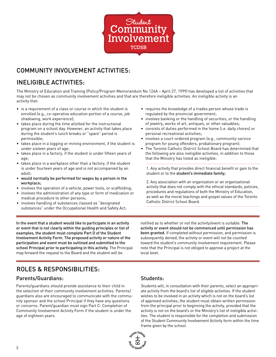

## COMMUNITY INVOLVEMENT ACTIVITIES:

# INELIGIBLE ACTIVITIES:

The Ministry of Education and Training (Policy/Program Memorandum No.124A – April 27, 1999) has developed a list of activities that may not be chosen as community involvement activities and that are therefore ineligible activities. An ineligible activity is an activity that:

- is a requirement of a class or course in which the student is enrolled (e.g., co-operative education portion of a course, job shadowing, work experience);
- takes place during the time allotted for the instructional program on a school day. However, an activity that takes place during the student's lunch breaks or "spare" period is permissible;
- takes place in a logging or mining environment, if the student is under sixteen years of age;
- takes place in a factory, if the student is under fifteen years of age;
- takes place in a workplace other than a factory, if the student is under fourteen years of age and is not accompanied by an adult;
- would normally be performed for wages by a person in the workplace;
- involves the operation of a vehicle, power tools, or scaffolding;
- involves the administration of any type or form of medication or medical procedure to other persons;
- involves handling of substances classed as "designated substances" under the Occupational Health and Safety Act;

In the event that a student would like to participate in an activity or event that is not clearly within the guiding principles or list of examples, the student must complete Part D of the Student Involvement Activity Form. The proposed activity or nature of the participation and event must be outlined and submitted to the school Principal prior to participating in this activity. The Principal may forward the request to the Board and the student will be

- requires the knowledge of a trades person whose trade is regulated by the provincial government;
- involves banking or the handling of securities, or the handling of jewelry, works of art, antiques, or other valuables;
- consists of duties performed in the home (i.e. daily chores) or personal recreational activities;
- involves a court-ordered program (e.g., community-service program for young offenders, probationary program).

• The Toronto Catholic District School Board has determined that the following are also ineligible activities, in addition to those that the Ministry has listed as ineligible:

1. Any activity that provides direct financial benefit or gain to the student or to the student's immediate family;

2. Any association with an organization or an organizational activity that does not comply with the ethical standards, policies, procedures and regulations of both the Ministry of Education, as well as the moral teachings and gospel values of the Toronto Catholic District School Board.

notified as to whether or not the activity/event is suitable. The activity or event should not be commenced until permission has been granted. If completed without permission, and permission is subsequently denied, the activity or event will not be counted toward the student's community involvement requirement. Please note that the Principal is not obliged to approve a project at the local level.

# ROLES & RESPONSIBILITIES:

### Parents/Guardians:

Parents/guardians should provide assistance to their child in the selection of their community involvement activities. Parents/ guardians also are encouraged to communicate with the community sponsor and the school Principal if they have any questions or concerns. Parent/guardian must sign Part C: Completion of Community Involvement Activity Form if the student is under the age of eighteen years.

Students:

Students will, in consultation with their parents, select an appropriate activity from the board's list of eligible activities. If the student wishes to be involved in an activity which is not on the board's list of approved activities, the student must obtain written permission from the principal prior to beginning the activity, provided that the activity is not on the board's or the Ministry's list of ineligible activities. The student is responsible for the completion and submission of the Student Community Involvement Activity form within the time frame given by the school.

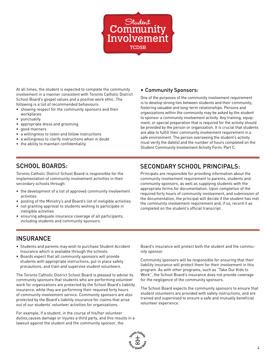

At all times, the student is expected to complete the community involvement in a manner consistent with Toronto Catholic District School Board's gospel values and a positive work ethic. The following is a list of recommended behaviours:

- showing respect for the community sponsors and their workplaces
- punctuality
- appropriate dress and grooming
- good manners
- a willingness to listen and follow instructions
- a willingness to clarify instructions when in doubt
- the ability to maintain confidentiality.

### • Community Sponsors:

One of the purposes of the community involvement requirement is to develop strong ties between students and their community, fostering valuable and long-term relationships. Persons and organizations within the community may be asked by the student to sponsor a community involvement activity. Any training, equipment, or special preparation that is required for the activity should be provided by the person or organization. It is crucial that students are able to fulfill their community involvement requirement in a safe environment. The person overseeing the student's activity must verify the date(s) and the number of hours completed on the Student Community Involvement Activity Form, Part C.

## SCHOOL BOARDS:

Toronto Catholic District School Board is responsible for the implementation of community involvement activities in their secondary schools through:

- the development of a list of approved community involvement activities
- posting of the Ministry's and Board's list of ineligible activities
- not granting approval to students wishing to participate in ineligible activities
- ensuring adequate insurance coverage of all participants, including students and community sponsors.

## SECONDARY SCHOOL PRINCIPALS:

Principals are responsible for providing information about the community involvement requirement to parents, students and community sponsors, as well as supplying students with the appropriate forms for documentation. Upon completion of the required forty hours of community involvement, and submission of the documentation, the principal will decide if the student has met the community involvement requirement and, if so, record it as completed on the student's official transcript.

## **INSURANCE**

- Students and parents may wish to purchase Student Accident Insurance which is available through the schools.
- Boards expect that all community sponsors will provide students with appropriate instructions, put in place safety precautions, and train and supervise student volunteers.

The Toronto Catholic District School Board is pleased to advise its community sponsors that students who are performing volunteer work for organizations are protected by the School Board's liability insurance, while they are performing their required forty hours of community involvement service. Community sponsors are also protected by the Board's liability insurance for claims that arise out of our students' volunteer activities for organizations.

For example, if a student, in the course of his/her volunteer duties,causes damage or injures a third party, and this results in a lawsuit against the student and the community sponsor, the

Board's insurance will protect both the student and the community sponsor.

Community sponsors will be responsible for ensuring that their liability insurance will protect them for their involvement in this program. As with other programs, such as "Take Our Kids to Work", the School Board's insurance does not provide coverage for the negligence of the community sponsors.

The School Board expects the community sponsors to ensure that student volunteers are provided with safety instructions, and are trained and supervised to ensure a safe and mutually beneficial volunteer experience.

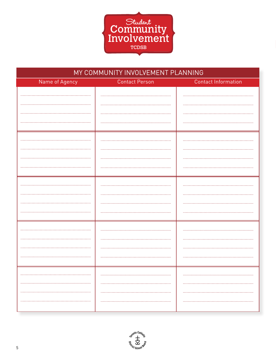

| MY COMMUNITY INVOLVEMENT PLANNING |                       |                            |  |  |
|-----------------------------------|-----------------------|----------------------------|--|--|
| Name of Agency                    | <b>Contact Person</b> | <b>Contact Information</b> |  |  |
|                                   |                       |                            |  |  |
|                                   |                       |                            |  |  |
|                                   |                       |                            |  |  |
|                                   |                       |                            |  |  |
|                                   |                       |                            |  |  |
|                                   |                       |                            |  |  |
|                                   |                       |                            |  |  |
|                                   |                       |                            |  |  |
|                                   |                       |                            |  |  |
|                                   |                       |                            |  |  |
|                                   |                       |                            |  |  |
|                                   |                       |                            |  |  |
|                                   |                       |                            |  |  |
|                                   |                       |                            |  |  |
|                                   |                       |                            |  |  |
|                                   |                       |                            |  |  |
|                                   |                       |                            |  |  |
|                                   |                       |                            |  |  |
|                                   |                       |                            |  |  |
|                                   |                       |                            |  |  |
|                                   |                       |                            |  |  |
|                                   |                       |                            |  |  |
|                                   |                       |                            |  |  |
|                                   |                       |                            |  |  |
|                                   |                       |                            |  |  |
|                                   |                       |                            |  |  |

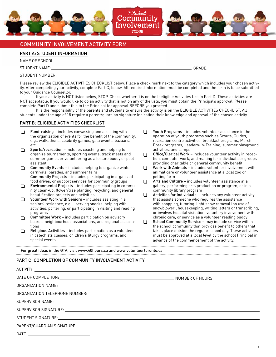

### COMMUNITY INVOLVEMENT ACTIVITY FORM

### PART A: STUDENT INFORMATION

NAME OF SCHOOL:

STUDENT NAME:

STUDENT NUMBER:

Please review the ELIGIBLE ACTIVITIES CHECKLIST below. Place a check mark next to the category which includes your chosen activity. After completing your activity, complete Part C, below. All required information must be completed and the form is to be submitted to your Guidance Counsellor.

**Student**

TCDSB

If your activity is NOT listed below, STOP. Check whether it is on the Ineligible Activities List in Part D. These activities are NOT acceptable. If you would like to do an activity that is not on any of the lists, you must obtain the Principal's approval. Please complete Part D and submit this to the Principal for approval BEFORE you proceed.

It is the responsibility of the parents and students to ensure the activity is on the ELIGIBLE ACTIVITIES CHECKLIST. All students under the age of 18 require a parent/guardian signature indicating their knowledge and approval of the chosen activity.

### PART B: ELIGIBLE ACTIVITIES CHECKLIST

- $\Box$  Fund-raising includes canvassing and assisting with  $\Box$ the organization of events for the benefit of the community, e.g., walkathons, celebrity games, gala events, bazaars, etc.
- Sports/recreation includes coaching and helping to organize tournaments, sporting events, track meets and summer games or volunteering as a leisure buddy or pool assistant ❏
- Community Events includes helping to organize winter carnivals, parades, and summer fairs Community Projects – includes participating in organized food drives; or support services for community groups  $\Box$
- Environmental Projects includes participating in community clean-up, flower/tree planting, recycling, and general beautification projects and activities ❏
- Volunteer Work with Seniors includes assisting in a seniors' residence, e.g. – serving snacks, helping with activities, portering, or participating in visiting and reading programs  $\Box$
- Committee Work includes participation on advisory boards, neighbourhood associations, and regional associations  $\Box$
- Religious Activities includes participation as a volunteer in catechists classes, children's liturgy programs, and special events ❏

Youth Programs – includes volunteer assistance in the operation of youth programs such as Scouts, Guides, recreation centre activities, breakfast programs, March Break programs, Leaders-in-Training, summer playground activities, and camps

GRADE:

- Office/Clerical Work includes volunteer activity in reception, computer work, and mailing for individuals or groups providing charitable or general community benefit ❏
- Work with Animals includes volunteer involvement with animal care or volunteer assistance at a local zoo or petting farm ❏
- Arts and Culture includes volunteer assistance at a gallery, performing arts production or program, or in a community library program ❏
- Activities for Individuals includes any volunteer activity that assists someone who requires the assistance with shopping, tutoring, light snow removal (no use of snowblower), housekeeping, writing letters or transcribing, or involves hospital visitation, voluntary involvement with chronic care, or service as a volunteer reading buddy ❏
- School Community Service may include service within the school community that provides benefit to others that takes place outside the regular school day. These activities must be approved at a local level by the school Principal in advance of the commencement of the activity. ❏

For great ideas in the GTA, visit www.40hours.ca and www.volunteertoronto.ca

#### PART C: COMPLETION OF COMMUNITY INVOLVEMENT ACTIVITY

| DATE: |  |
|-------|--|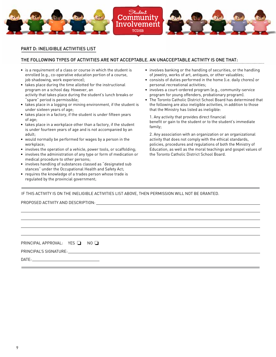

#### PART D: INELIGIBLE ACTIVITIES LIST

### THE FOLLOWING TYPES OF ACTIVITIES ARE NOT ACCEPTABLE. AN UNACCEPTABLE ACTIVITY IS ONE THAT:

- is a requirement of a class or course in which the student is enrolled (e.g., co-operative education portion of a course, job shadowing, work experience);
- takes place during the time allotted for the instructional program on a school day. However, an activity that takes place during the student's lunch breaks or "spare" period is permissible;
- takes place in a logging or mining environment, if the student is under sixteen years of age;
- takes place in a factory, if the student is under fifteen years of age;
- takes place in a workplace other than a factory, if the student is under fourteen years of age and is not accompanied by an adult;
- would normally be performed for wages by a person in the workplace;
- involves the operation of a vehicle, power tools, or scaffolding;
- involves the administration of any type or form of medication or medical procedure to other persons;
- involves handling of substances classed as "designated sub stances" under the Occupational Health and Safety Act;
- requires the knowledge of a trades person whose trade is regulated by the provincial government;
- involves banking or the handling of securities, or the handling of jewelry, works of art, antiques, or other valuables;
- consists of duties performed in the home (i.e. daily chores) or personal recreational activities;
- involves a court-ordered program (e.g., community-service program for young offenders, probationary program).
- The Toronto Catholic District School Board has determined that the following are also ineligible activities, in addition to those that the Ministry has listed as ineligible:

1. Any activity that provides direct financial benefit or gain to the student or to the student's immediate family;

2. Any association with an organization or an organizational activity that does not comply with the ethical standards, policies, procedures and regulations of both the Ministry of Education, as well as the moral teachings and gospel values of the Toronto Catholic District School Board.

IF THIS ACTIVITY IS ON THE INELIGIBLE ACTIVITIES LIST ABOVE, THEN PERMISSION WILL NOT BE GRANTED.

PROPOSED ACTIVITY AND DESCRIPTION:

PRINCIPAL APPROVAL:  $YES$   $\Box$  NO

PRINCIPAL'S SIGNATURE:

DATE: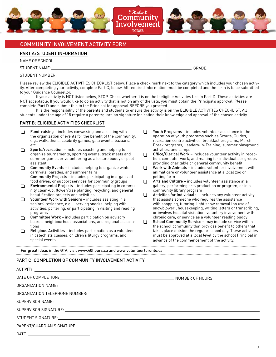

### COMMUNITY INVOLVEMENT ACTIVITY FORM

### PART A: STUDENT INFORMATION

NAME OF SCHOOL:

STUDENT NAME:

STUDENT NUMBER:

Please review the ELIGIBLE ACTIVITIES CHECKLIST below. Place a check mark next to the category which includes your chosen activity. After completing your activity, complete Part C, below. All required information must be completed and the form is to be submitted to your Guidance Counsellor.

If your activity is NOT listed below, STOP. Check whether it is on the Ineligible Activities List in Part D. These activities are NOT acceptable. If you would like to do an activity that is not on any of the lists, you must obtain the Principal's approval. Please complete Part D and submit this to the Principal for approval BEFORE you proceed.

It is the responsibility of the parents and students to ensure the activity is on the ELIGIBLE ACTIVITIES CHECKLIST. All students under the age of 18 require a parent/guardian signature indicating their knowledge and approval of the chosen activity.

#### PART B: ELIGIBLE ACTIVITIES CHECKLIST

- $\Box$  Fund-raising includes canvassing and assisting with  $\Box$ the organization of events for the benefit of the community, e.g., walkathons, celebrity games, gala events, bazaars, etc.
- Sports/recreation includes coaching and helping to organize tournaments, sporting events, track meets and summer games or volunteering as a leisure buddy or pool assistant ❏
- Community Events includes helping to organize winter carnivals, parades, and summer fairs Community Projects – includes participating in organized food drives; or support services for community groups  $\Box$
- Environmental Projects includes participating in community clean-up, flower/tree planting, recycling, and general beautification projects and activities ❏
- Volunteer Work with Seniors includes assisting in a seniors' residence, e.g. – serving snacks, helping with activities, portering, or participating in visiting and reading programs  $\Box$
- Committee Work includes participation on advisory boards, neighbourhood associations, and regional associations  $\Box$
- Religious Activities includes participation as a volunteer in catechists classes, children's liturgy programs, and special events ❏

Youth Programs – includes volunteer assistance in the operation of youth programs such as Scouts, Guides, recreation centre activities, breakfast programs, March Break programs, Leaders-in-Training, summer playground activities, and camps

GRADE:

- Office/Clerical Work includes volunteer activity in reception, computer work, and mailing for individuals or groups providing charitable or general community benefit ❏
- Work with Animals includes volunteer involvement with animal care or volunteer assistance at a local zoo or petting farm ❏
- Arts and Culture includes volunteer assistance at a gallery, performing arts production or program, or in a community library program ❏
- Activities for Individuals includes any volunteer activity that assists someone who requires the assistance with shopping, tutoring, light snow removal (no use of snowblower), housekeeping, writing letters or transcribing, or involves hospital visitation, voluntary involvement with chronic care, or service as a volunteer reading buddy ❏
- School Community Service may include service within the school community that provides benefit to others that takes place outside the regular school day. These activities must be approved at a local level by the school Principal in advance of the commencement of the activity. ❏

For great ideas in the GTA, visit www.40hours.ca and www.volunteertoronto.ca

#### PART C: COMPLETION OF COMMUNITY INVOLVEMENT ACTIVITY

| SUPERVISOR NAME: University of the contract of the contract of the contract of the contract of the contract of the contract of the contract of the contract of the contract of the contract of the contract of the contract of |  |
|--------------------------------------------------------------------------------------------------------------------------------------------------------------------------------------------------------------------------------|--|
|                                                                                                                                                                                                                                |  |
|                                                                                                                                                                                                                                |  |
|                                                                                                                                                                                                                                |  |
| DATF:                                                                                                                                                                                                                          |  |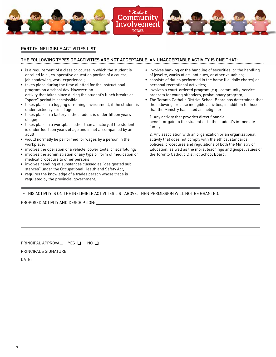

#### PART D: INELIGIBLE ACTIVITIES LIST

### THE FOLLOWING TYPES OF ACTIVITIES ARE NOT ACCEPTABLE. AN UNACCEPTABLE ACTIVITY IS ONE THAT:

- is a requirement of a class or course in which the student is enrolled (e.g., co-operative education portion of a course, job shadowing, work experience);
- takes place during the time allotted for the instructional program on a school day. However, an activity that takes place during the student's lunch breaks or "spare" period is permissible;
- takes place in a logging or mining environment, if the student is under sixteen years of age;
- takes place in a factory, if the student is under fifteen years of age;
- takes place in a workplace other than a factory, if the student is under fourteen years of age and is not accompanied by an adult;
- would normally be performed for wages by a person in the workplace;
- involves the operation of a vehicle, power tools, or scaffolding;
- involves the administration of any type or form of medication or medical procedure to other persons;
- involves handling of substances classed as "designated sub stances" under the Occupational Health and Safety Act;
- requires the knowledge of a trades person whose trade is regulated by the provincial government;
- involves banking or the handling of securities, or the handling of jewelry, works of art, antiques, or other valuables;
- consists of duties performed in the home (i.e. daily chores) or personal recreational activities;
- involves a court-ordered program (e.g., community-service program for young offenders, probationary program).
- The Toronto Catholic District School Board has determined that the following are also ineligible activities, in addition to those that the Ministry has listed as ineligible:

1. Any activity that provides direct financial benefit or gain to the student or to the student's immediate family;

2. Any association with an organization or an organizational activity that does not comply with the ethical standards, policies, procedures and regulations of both the Ministry of Education, as well as the moral teachings and gospel values of the Toronto Catholic District School Board.

IF THIS ACTIVITY IS ON THE INELIGIBLE ACTIVITIES LIST ABOVE, THEN PERMISSION WILL NOT BE GRANTED.

PROPOSED ACTIVITY AND DESCRIPTION:

PRINCIPAL APPROVAL:  $YES$   $\Box$  NO

PRINCIPAL'S SIGNATURE:

DATE: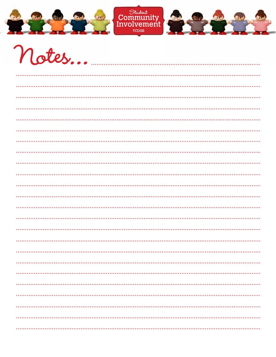



 $\overline{\phantom{a}}$ 

.<br>Ази

**A**